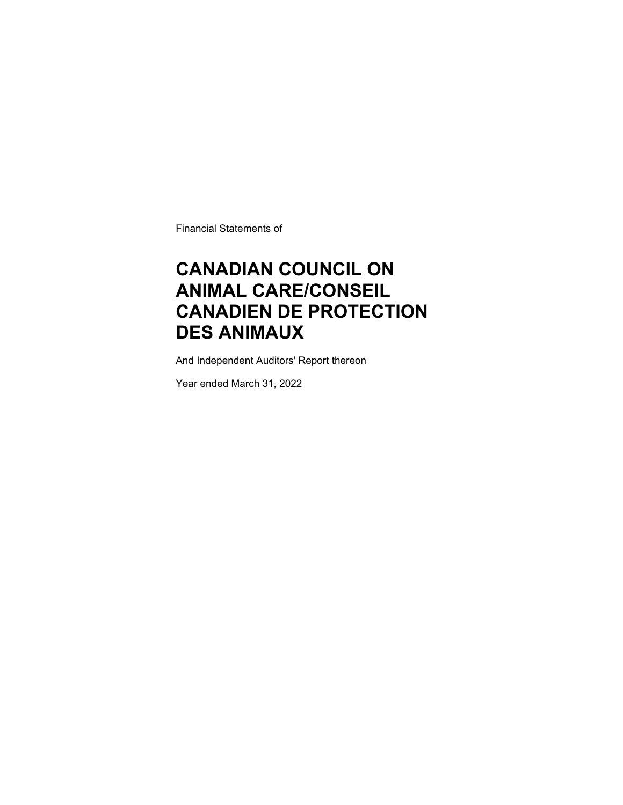Financial Statements of

### **CANADIAN COUNCIL ON ANIMAL CARE/CONSEIL CANADIEN DE PROTECTION DES ANIMAUX**

And Independent Auditors' Report thereon

Year ended March 31, 2022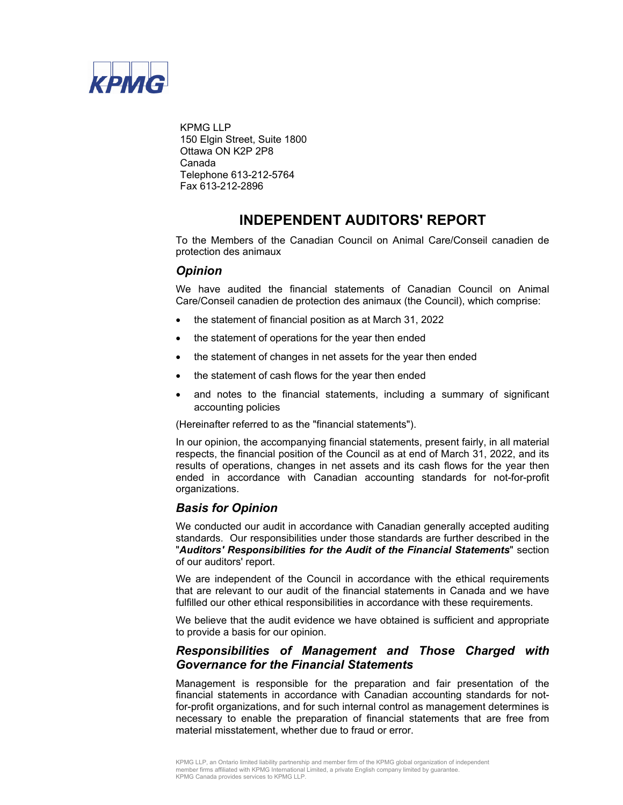

KPMG LLP 150 Elgin Street, Suite 1800 Ottawa ON K2P 2P8 Canada Telephone 613-212-5764 Fax 613-212-2896

### **INDEPENDENT AUDITORS' REPORT**

To the Members of the Canadian Council on Animal Care/Conseil canadien de protection des animaux

### *Opinion*

We have audited the financial statements of Canadian Council on Animal Care/Conseil canadien de protection des animaux (the Council), which comprise:

- the statement of financial position as at March 31, 2022
- the statement of operations for the year then ended
- the statement of changes in net assets for the year then ended
- the statement of cash flows for the year then ended
- and notes to the financial statements, including a summary of significant accounting policies

(Hereinafter referred to as the "financial statements").

In our opinion, the accompanying financial statements, present fairly, in all material respects, the financial position of the Council as at end of March 31, 2022, and its results of operations, changes in net assets and its cash flows for the year then ended in accordance with Canadian accounting standards for not-for-profit organizations.

### *Basis for Opinion*

We conducted our audit in accordance with Canadian generally accepted auditing standards. Our responsibilities under those standards are further described in the "*Auditors' Responsibilities for the Audit of the Financial Statements*" section of our auditors' report.

We are independent of the Council in accordance with the ethical requirements that are relevant to our audit of the financial statements in Canada and we have fulfilled our other ethical responsibilities in accordance with these requirements.

We believe that the audit evidence we have obtained is sufficient and appropriate to provide a basis for our opinion.

### *Responsibilities of Management and Those Charged with Governance for the Financial Statements*

Management is responsible for the preparation and fair presentation of the financial statements in accordance with Canadian accounting standards for notfor-profit organizations, and for such internal control as management determines is necessary to enable the preparation of financial statements that are free from material misstatement, whether due to fraud or error.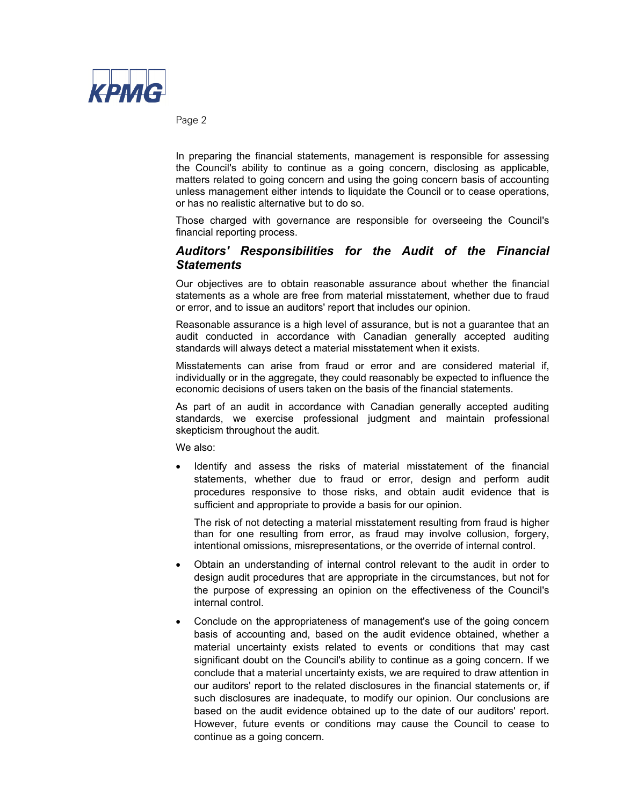

Page 2

In preparing the financial statements, management is responsible for assessing the Council's ability to continue as a going concern, disclosing as applicable, matters related to going concern and using the going concern basis of accounting unless management either intends to liquidate the Council or to cease operations, or has no realistic alternative but to do so.

Those charged with governance are responsible for overseeing the Council's financial reporting process.

### *Auditors' Responsibilities for the Audit of the Financial Statements*

Our objectives are to obtain reasonable assurance about whether the financial statements as a whole are free from material misstatement, whether due to fraud or error, and to issue an auditors' report that includes our opinion.

Reasonable assurance is a high level of assurance, but is not a guarantee that an audit conducted in accordance with Canadian generally accepted auditing standards will always detect a material misstatement when it exists.

Misstatements can arise from fraud or error and are considered material if, individually or in the aggregate, they could reasonably be expected to influence the economic decisions of users taken on the basis of the financial statements.

As part of an audit in accordance with Canadian generally accepted auditing standards, we exercise professional judgment and maintain professional skepticism throughout the audit.

We also:

 Identify and assess the risks of material misstatement of the financial statements, whether due to fraud or error, design and perform audit procedures responsive to those risks, and obtain audit evidence that is sufficient and appropriate to provide a basis for our opinion.

The risk of not detecting a material misstatement resulting from fraud is higher than for one resulting from error, as fraud may involve collusion, forgery, intentional omissions, misrepresentations, or the override of internal control.

- Obtain an understanding of internal control relevant to the audit in order to design audit procedures that are appropriate in the circumstances, but not for the purpose of expressing an opinion on the effectiveness of the Council's internal control.
- Conclude on the appropriateness of management's use of the going concern basis of accounting and, based on the audit evidence obtained, whether a material uncertainty exists related to events or conditions that may cast significant doubt on the Council's ability to continue as a going concern. If we conclude that a material uncertainty exists, we are required to draw attention in our auditors' report to the related disclosures in the financial statements or, if such disclosures are inadequate, to modify our opinion. Our conclusions are based on the audit evidence obtained up to the date of our auditors' report. However, future events or conditions may cause the Council to cease to continue as a going concern.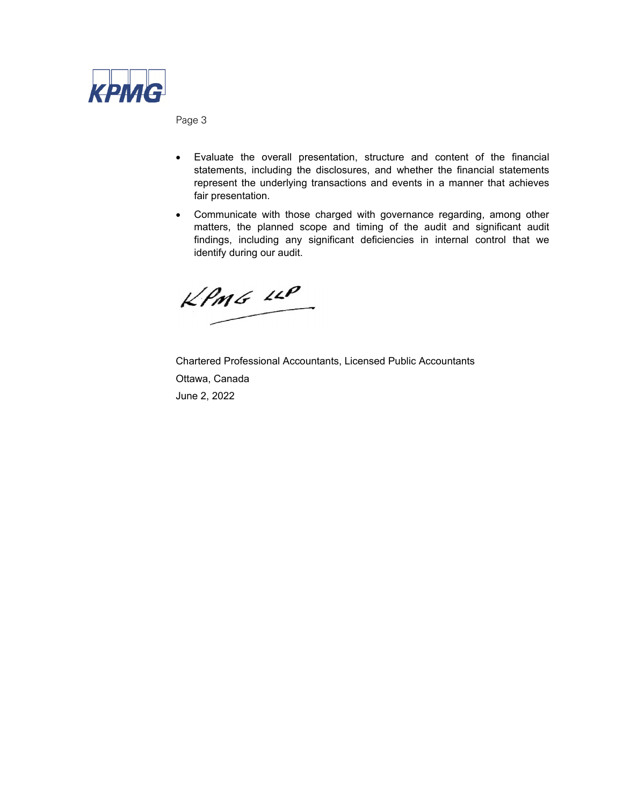

Page 3

- Evaluate the overall presentation, structure and content of the financial statements, including the disclosures, and whether the financial statements represent the underlying transactions and events in a manner that achieves fair presentation.
- Communicate with those charged with governance regarding, among other matters, the planned scope and timing of the audit and significant audit findings, including any significant deficiencies in internal control that we identify during our audit.

 $KPMG$  11P

Chartered Professional Accountants, Licensed Public Accountants Ottawa, Canada June 2, 2022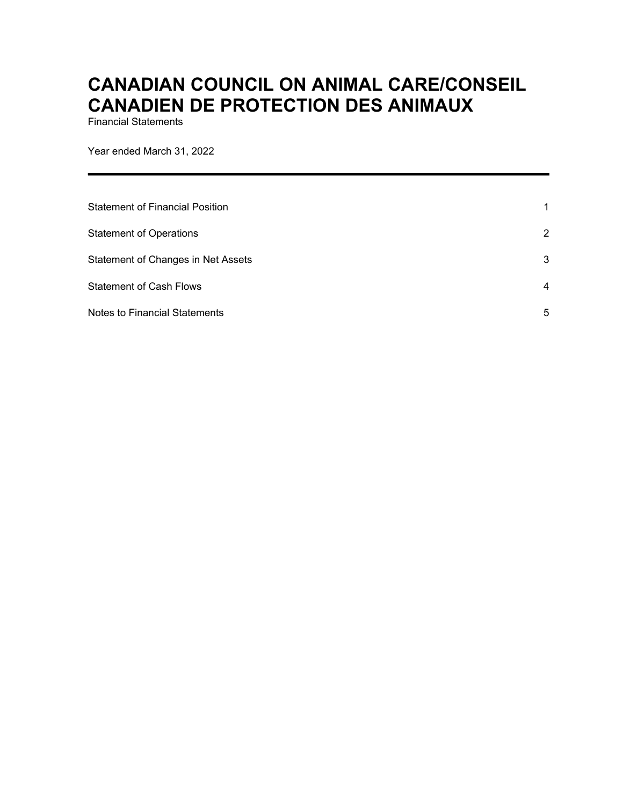Financial Statements

Year ended March 31, 2022

| Statement of Financial Position      | 1              |
|--------------------------------------|----------------|
| <b>Statement of Operations</b>       | $\overline{2}$ |
| Statement of Changes in Net Assets   | 3              |
| <b>Statement of Cash Flows</b>       | $\overline{4}$ |
| <b>Notes to Financial Statements</b> | 5              |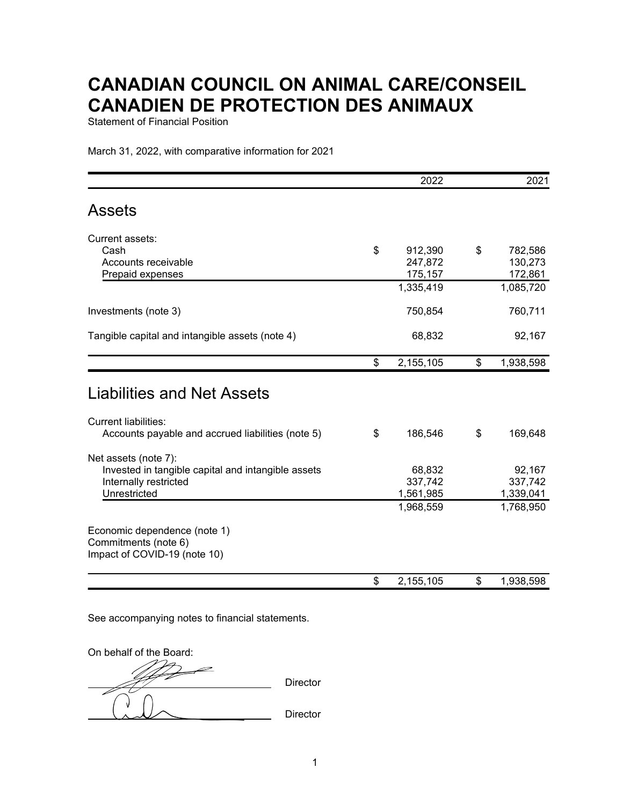Statement of Financial Position

March 31, 2022, with comparative information for 2021

|                                                                                                                     | 2022                           | 2021                           |
|---------------------------------------------------------------------------------------------------------------------|--------------------------------|--------------------------------|
| <b>Assets</b>                                                                                                       |                                |                                |
| Current assets:                                                                                                     |                                |                                |
| Cash<br>Accounts receivable                                                                                         | \$<br>912,390<br>247,872       | \$<br>782,586<br>130,273       |
| Prepaid expenses                                                                                                    | 175,157<br>1,335,419           | 172,861<br>1,085,720           |
| Investments (note 3)                                                                                                | 750,854                        | 760,711                        |
| Tangible capital and intangible assets (note 4)                                                                     | 68,832                         | 92,167                         |
|                                                                                                                     | \$<br>2,155,105                | \$<br>1,938,598                |
| <b>Liabilities and Net Assets</b>                                                                                   |                                |                                |
| <b>Current liabilities:</b>                                                                                         |                                |                                |
| Accounts payable and accrued liabilities (note 5)                                                                   | \$<br>186,546                  | \$<br>169,648                  |
| Net assets (note 7):<br>Invested in tangible capital and intangible assets<br>Internally restricted<br>Unrestricted | 68,832<br>337,742<br>1,561,985 | 92,167<br>337,742<br>1,339,041 |
|                                                                                                                     | 1,968,559                      | 1,768,950                      |
| Economic dependence (note 1)<br>Commitments (note 6)<br>Impact of COVID-19 (note 10)                                |                                |                                |
|                                                                                                                     | \$<br>2,155,105                | \$<br>1,938,598                |

On behalf of the Board: Director **Director**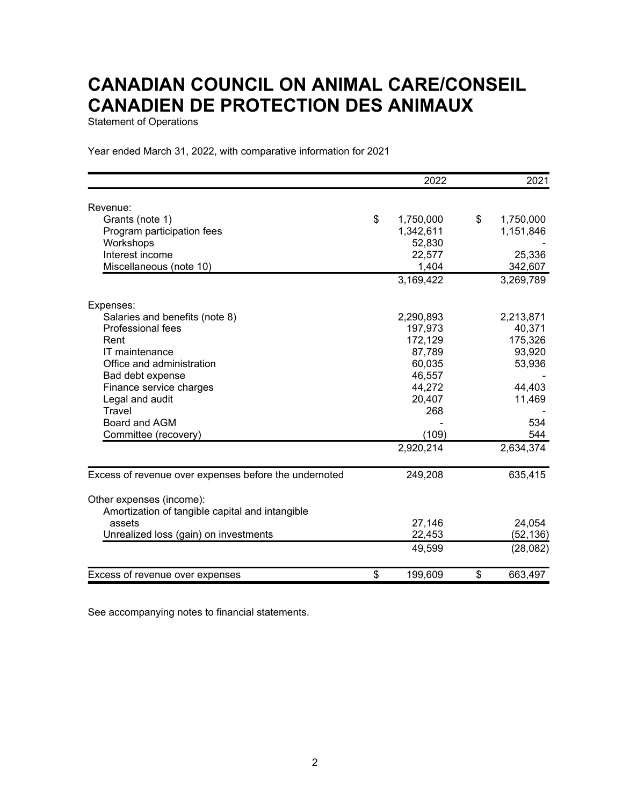Statement of Operations

Year ended March 31, 2022, with comparative information for 2021

|                                                       | 2022            | 2021            |
|-------------------------------------------------------|-----------------|-----------------|
| Revenue:                                              |                 |                 |
| Grants (note 1)                                       | \$<br>1,750,000 | \$<br>1,750,000 |
| Program participation fees                            | 1,342,611       | 1,151,846       |
| Workshops                                             | 52,830          |                 |
| Interest income                                       | 22,577          | 25,336          |
| Miscellaneous (note 10)                               | 1,404           | 342,607         |
|                                                       | 3,169,422       | 3,269,789       |
| Expenses:                                             |                 |                 |
| Salaries and benefits (note 8)                        | 2,290,893       | 2,213,871       |
| <b>Professional fees</b>                              | 197,973         | 40,371          |
| Rent                                                  | 172,129         | 175,326         |
| IT maintenance                                        | 87,789          | 93,920          |
| Office and administration                             | 60,035          | 53,936          |
| Bad debt expense                                      | 46,557          |                 |
| Finance service charges                               | 44,272          | 44,403          |
| Legal and audit                                       | 20,407          | 11,469          |
| Travel                                                | 268             |                 |
| Board and AGM                                         |                 | 534             |
| Committee (recovery)                                  | (109)           | 544             |
|                                                       | 2,920,214       | 2,634,374       |
| Excess of revenue over expenses before the undernoted | 249,208         | 635,415         |
| Other expenses (income):                              |                 |                 |
| Amortization of tangible capital and intangible       |                 |                 |
| assets                                                | 27,146          | 24,054          |
| Unrealized loss (gain) on investments                 | 22,453          | (52, 136)       |
|                                                       | 49,599          | (28,082)        |
| Excess of revenue over expenses                       | \$<br>199,609   | \$<br>663,497   |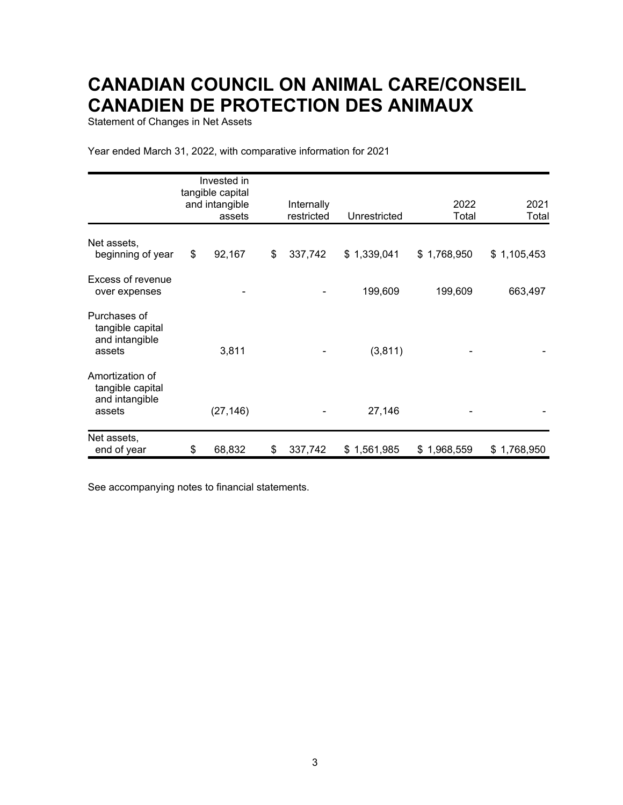Statement of Changes in Net Assets

Year ended March 31, 2022, with comparative information for 2021

|                                                                 | Invested in<br>tangible capital<br>and intangible | Internally    |              | 2022        | 2021        |
|-----------------------------------------------------------------|---------------------------------------------------|---------------|--------------|-------------|-------------|
|                                                                 | assets                                            | restricted    | Unrestricted | Total       | Total       |
| Net assets,<br>beginning of year                                | \$<br>92,167                                      | \$<br>337,742 | \$1,339,041  | \$1,768,950 | \$1,105,453 |
| Excess of revenue<br>over expenses                              |                                                   |               | 199,609      | 199,609     | 663,497     |
| Purchases of<br>tangible capital<br>and intangible<br>assets    | 3,811                                             |               | (3, 811)     |             |             |
| Amortization of<br>tangible capital<br>and intangible<br>assets | (27, 146)                                         |               | 27,146       |             |             |
| Net assets,<br>end of year                                      | \$<br>68,832                                      | \$<br>337,742 | \$1,561,985  | \$1,968,559 | \$1,768,950 |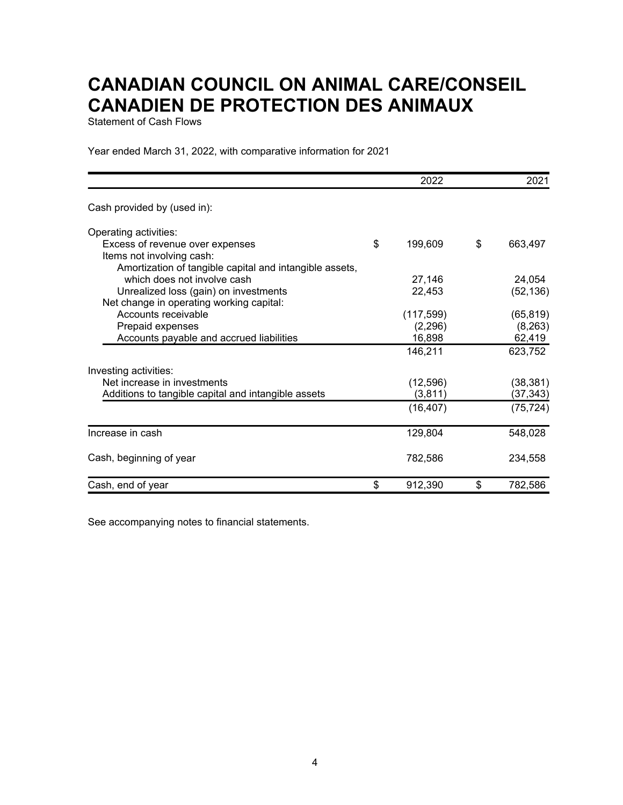Statement of Cash Flows

Year ended March 31, 2022, with comparative information for 2021

|                                                                 | 2022          | 2021          |
|-----------------------------------------------------------------|---------------|---------------|
| Cash provided by (used in):                                     |               |               |
| Operating activities:                                           |               |               |
| Excess of revenue over expenses                                 | \$<br>199,609 | \$<br>663,497 |
| Items not involving cash:                                       |               |               |
| Amortization of tangible capital and intangible assets,         |               |               |
| which does not involve cash                                     | 27,146        | 24,054        |
| Unrealized loss (gain) on investments                           | 22,453        | (52, 136)     |
| Net change in operating working capital:<br>Accounts receivable | (117, 599)    | (65, 819)     |
| Prepaid expenses                                                | (2, 296)      | (8, 263)      |
| Accounts payable and accrued liabilities                        | 16,898        | 62,419        |
|                                                                 | 146,211       | 623,752       |
| Investing activities:                                           |               |               |
| Net increase in investments                                     | (12, 596)     | (38, 381)     |
| Additions to tangible capital and intangible assets             | (3, 811)      | (37, 343)     |
|                                                                 | (16, 407)     | (75, 724)     |
| Increase in cash                                                | 129,804       | 548,028       |
| Cash, beginning of year                                         | 782,586       | 234,558       |
|                                                                 |               |               |
| Cash, end of year                                               | \$<br>912,390 | \$<br>782,586 |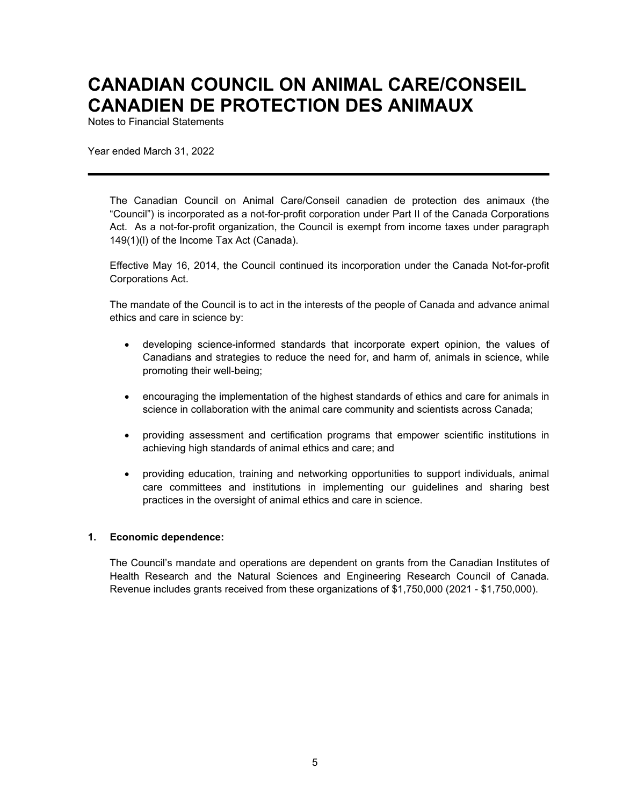Notes to Financial Statements

Year ended March 31, 2022

The Canadian Council on Animal Care/Conseil canadien de protection des animaux (the "Council") is incorporated as a not-for-profit corporation under Part II of the Canada Corporations Act. As a not-for-profit organization, the Council is exempt from income taxes under paragraph 149(1)(l) of the Income Tax Act (Canada).

Effective May 16, 2014, the Council continued its incorporation under the Canada Not-for-profit Corporations Act.

The mandate of the Council is to act in the interests of the people of Canada and advance animal ethics and care in science by:

- developing science-informed standards that incorporate expert opinion, the values of Canadians and strategies to reduce the need for, and harm of, animals in science, while promoting their well-being;
- encouraging the implementation of the highest standards of ethics and care for animals in science in collaboration with the animal care community and scientists across Canada;
- providing assessment and certification programs that empower scientific institutions in achieving high standards of animal ethics and care; and
- providing education, training and networking opportunities to support individuals, animal care committees and institutions in implementing our guidelines and sharing best practices in the oversight of animal ethics and care in science.

#### **1. Economic dependence:**

The Council's mandate and operations are dependent on grants from the Canadian Institutes of Health Research and the Natural Sciences and Engineering Research Council of Canada. Revenue includes grants received from these organizations of \$1,750,000 (2021 - \$1,750,000).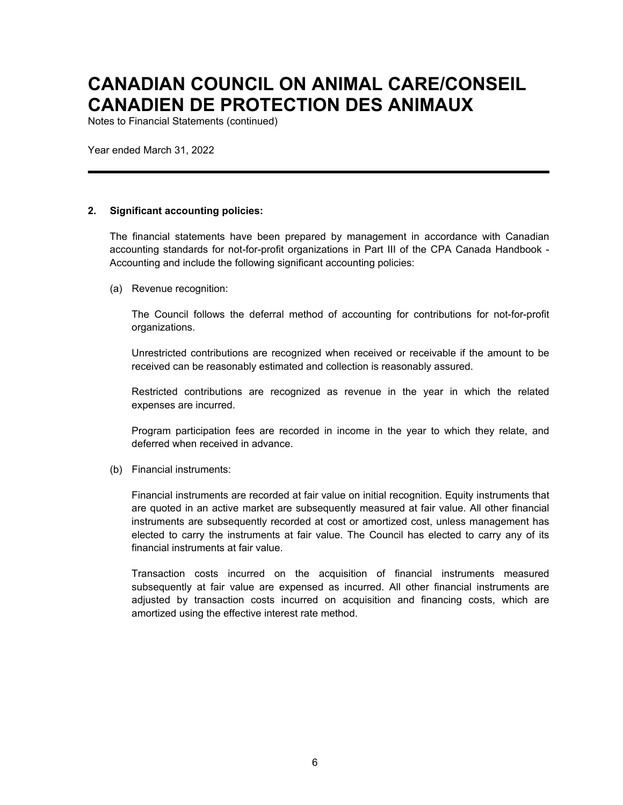Notes to Financial Statements (continued)

Year ended March 31, 2022

#### **2. Significant accounting policies:**

The financial statements have been prepared by management in accordance with Canadian accounting standards for not-for-profit organizations in Part III of the CPA Canada Handbook - Accounting and include the following significant accounting policies:

(a) Revenue recognition:

The Council follows the deferral method of accounting for contributions for not-for-profit organizations.

Unrestricted contributions are recognized when received or receivable if the amount to be received can be reasonably estimated and collection is reasonably assured.

Restricted contributions are recognized as revenue in the year in which the related expenses are incurred.

Program participation fees are recorded in income in the year to which they relate, and deferred when received in advance.

(b) Financial instruments:

Financial instruments are recorded at fair value on initial recognition. Equity instruments that are quoted in an active market are subsequently measured at fair value. All other financial instruments are subsequently recorded at cost or amortized cost, unless management has elected to carry the instruments at fair value. The Council has elected to carry any of its financial instruments at fair value.

Transaction costs incurred on the acquisition of financial instruments measured subsequently at fair value are expensed as incurred. All other financial instruments are adjusted by transaction costs incurred on acquisition and financing costs, which are amortized using the effective interest rate method.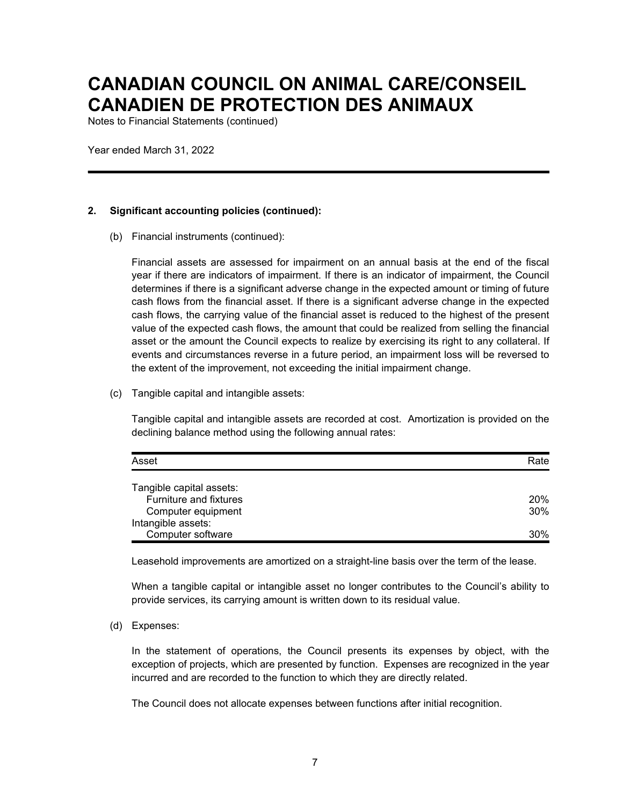Notes to Financial Statements (continued)

Year ended March 31, 2022

#### **2. Significant accounting policies (continued):**

(b) Financial instruments (continued):

Financial assets are assessed for impairment on an annual basis at the end of the fiscal year if there are indicators of impairment. If there is an indicator of impairment, the Council determines if there is a significant adverse change in the expected amount or timing of future cash flows from the financial asset. If there is a significant adverse change in the expected cash flows, the carrying value of the financial asset is reduced to the highest of the present value of the expected cash flows, the amount that could be realized from selling the financial asset or the amount the Council expects to realize by exercising its right to any collateral. If events and circumstances reverse in a future period, an impairment loss will be reversed to the extent of the improvement, not exceeding the initial impairment change.

(c) Tangible capital and intangible assets:

Tangible capital and intangible assets are recorded at cost. Amortization is provided on the declining balance method using the following annual rates:

| Asset                    | Rate       |
|--------------------------|------------|
| Tangible capital assets: |            |
| Furniture and fixtures   | <b>20%</b> |
| Computer equipment       | 30%        |
| Intangible assets:       |            |
| Computer software        | 30%        |

Leasehold improvements are amortized on a straight-line basis over the term of the lease.

When a tangible capital or intangible asset no longer contributes to the Council's ability to provide services, its carrying amount is written down to its residual value.

(d) Expenses:

In the statement of operations, the Council presents its expenses by object, with the exception of projects, which are presented by function. Expenses are recognized in the year incurred and are recorded to the function to which they are directly related.

The Council does not allocate expenses between functions after initial recognition.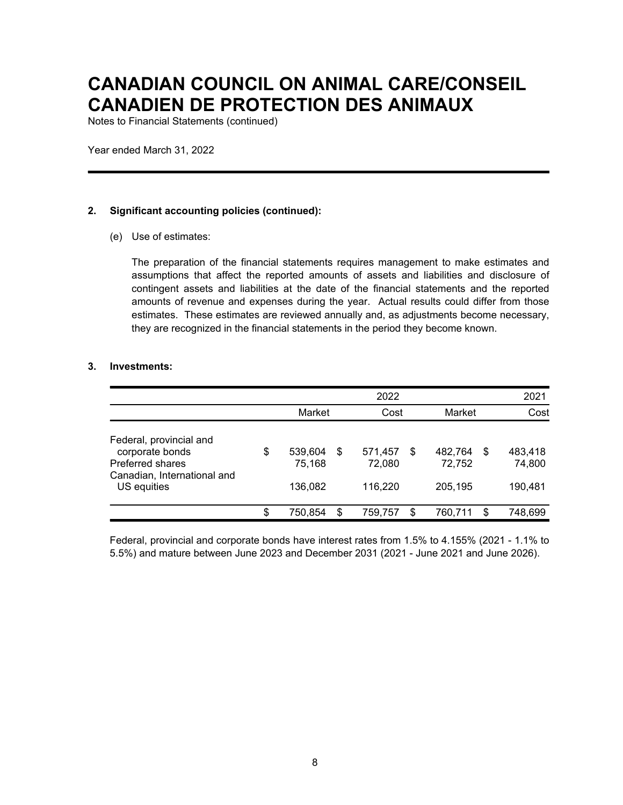Notes to Financial Statements (continued)

Year ended March 31, 2022

#### **2. Significant accounting policies (continued):**

(e) Use of estimates:

The preparation of the financial statements requires management to make estimates and assumptions that affect the reported amounts of assets and liabilities and disclosure of contingent assets and liabilities at the date of the financial statements and the reported amounts of revenue and expenses during the year. Actual results could differ from those estimates. These estimates are reviewed annually and, as adjustments become necessary, they are recognized in the financial statements in the period they become known.

#### **3. Investments:**

|                                                                                                              |                                    |   | 2022                         |     |                              | 2021                               |
|--------------------------------------------------------------------------------------------------------------|------------------------------------|---|------------------------------|-----|------------------------------|------------------------------------|
|                                                                                                              | Market                             |   | Cost                         |     | Market                       | Cost                               |
| Federal, provincial and<br>corporate bonds<br>Preferred shares<br>Canadian, International and<br>US equities | \$<br>539,604<br>75,168<br>136,082 | S | 571,457<br>72,080<br>116,220 | \$. | 482,764<br>72,752<br>205,195 | \$<br>483,418<br>74,800<br>190,481 |
|                                                                                                              | \$<br>750.854                      | S | 759.757                      | \$. | 760.711                      | \$<br>748,699                      |

Federal, provincial and corporate bonds have interest rates from 1.5% to 4.155% (2021 - 1.1% to 5.5%) and mature between June 2023 and December 2031 (2021 - June 2021 and June 2026).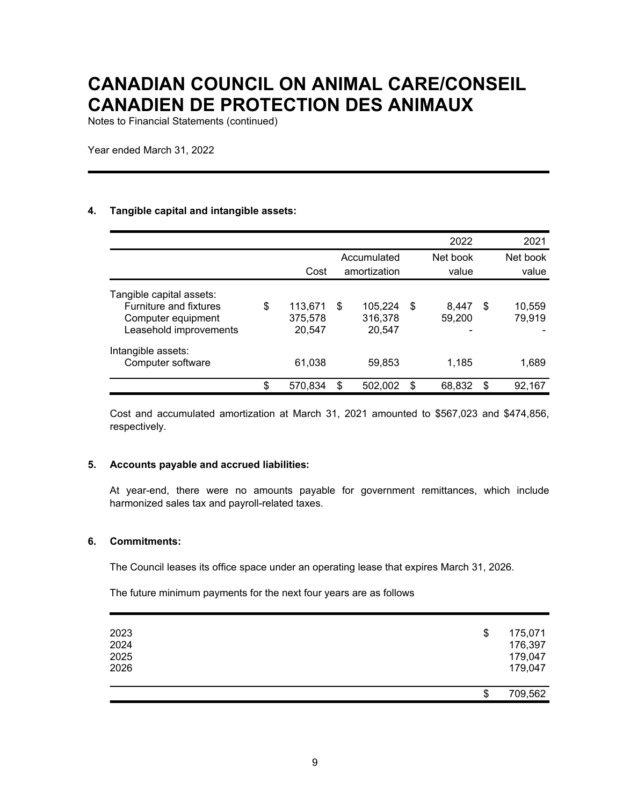Notes to Financial Statements (continued)

Year ended March 31, 2022

#### **4. Tangible capital and intangible assets:**

|                                                                                                    |                                    |                                    | 2022                  | 2021                   |
|----------------------------------------------------------------------------------------------------|------------------------------------|------------------------------------|-----------------------|------------------------|
|                                                                                                    |                                    | Accumulated                        | Net book              | Net book               |
|                                                                                                    | Cost                               | amortization                       | value                 | value                  |
| Tangible capital assets:<br>Furniture and fixtures<br>Computer equipment<br>Leasehold improvements | \$<br>113.671<br>375,578<br>20,547 | \$<br>105,224<br>316,378<br>20,547 | \$<br>8,447<br>59,200 | \$<br>10,559<br>79,919 |
| Intangible assets:<br>Computer software                                                            | 61,038                             | 59,853                             | 1.185                 | 1,689                  |
|                                                                                                    | \$<br>570.834                      | \$<br>502,002                      | \$<br>68,832          | \$<br>92,167           |

Cost and accumulated amortization at March 31, 2021 amounted to \$567,023 and \$474,856, respectively.

#### **5. Accounts payable and accrued liabilities:**

At year-end, there were no amounts payable for government remittances, which include harmonized sales tax and payroll-related taxes.

#### **6. Commitments:**

The Council leases its office space under an operating lease that expires March 31, 2026.

The future minimum payments for the next four years are as follows

| 2023<br>2024<br>2025<br>2026 | \$<br>175,071<br>176,397<br>179,047<br>179,047 |
|------------------------------|------------------------------------------------|
|                              | \$<br>709,562                                  |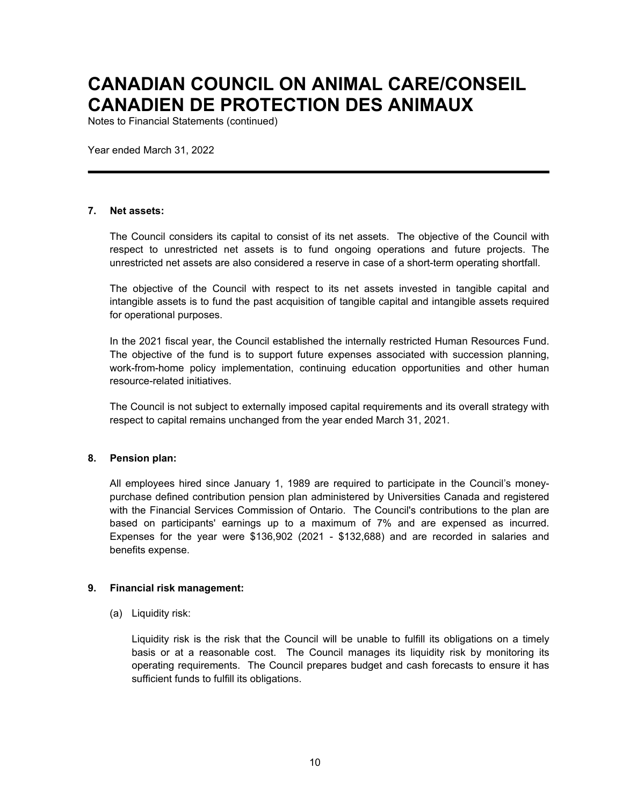Notes to Financial Statements (continued)

Year ended March 31, 2022

#### **7. Net assets:**

The Council considers its capital to consist of its net assets. The objective of the Council with respect to unrestricted net assets is to fund ongoing operations and future projects. The unrestricted net assets are also considered a reserve in case of a short-term operating shortfall.

The objective of the Council with respect to its net assets invested in tangible capital and intangible assets is to fund the past acquisition of tangible capital and intangible assets required for operational purposes.

In the 2021 fiscal year, the Council established the internally restricted Human Resources Fund. The objective of the fund is to support future expenses associated with succession planning, work-from-home policy implementation, continuing education opportunities and other human resource-related initiatives.

The Council is not subject to externally imposed capital requirements and its overall strategy with respect to capital remains unchanged from the year ended March 31, 2021.

#### **8. Pension plan:**

All employees hired since January 1, 1989 are required to participate in the Council's moneypurchase defined contribution pension plan administered by Universities Canada and registered with the Financial Services Commission of Ontario. The Council's contributions to the plan are based on participants' earnings up to a maximum of 7% and are expensed as incurred. Expenses for the year were \$136,902 (2021 - \$132,688) and are recorded in salaries and benefits expense.

#### **9. Financial risk management:**

(a) Liquidity risk:

Liquidity risk is the risk that the Council will be unable to fulfill its obligations on a timely basis or at a reasonable cost. The Council manages its liquidity risk by monitoring its operating requirements. The Council prepares budget and cash forecasts to ensure it has sufficient funds to fulfill its obligations.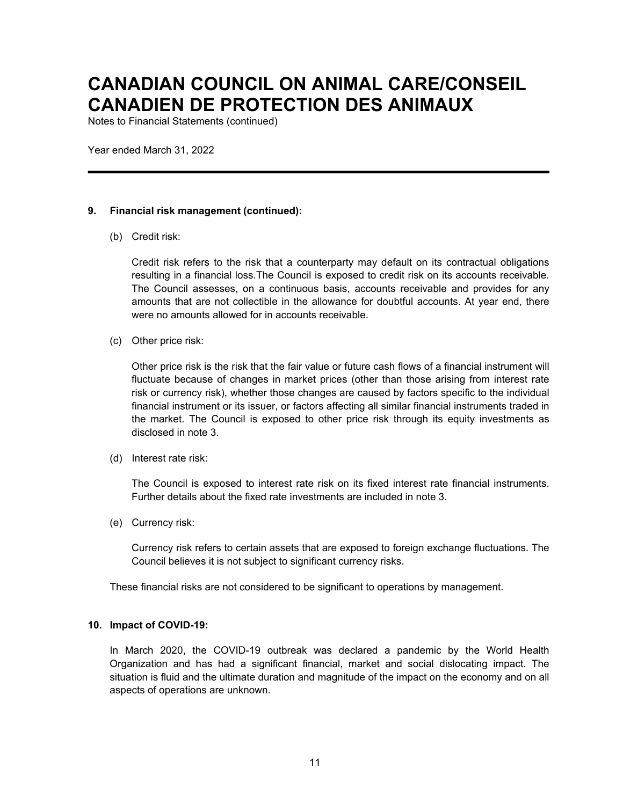Notes to Financial Statements (continued)

Year ended March 31, 2022

#### **9. Financial risk management (continued):**

(b) Credit risk:

Credit risk refers to the risk that a counterparty may default on its contractual obligations resulting in a financial loss.The Council is exposed to credit risk on its accounts receivable. The Council assesses, on a continuous basis, accounts receivable and provides for any amounts that are not collectible in the allowance for doubtful accounts. At year end, there were no amounts allowed for in accounts receivable.

(c) Other price risk:

Other price risk is the risk that the fair value or future cash flows of a financial instrument will fluctuate because of changes in market prices (other than those arising from interest rate risk or currency risk), whether those changes are caused by factors specific to the individual financial instrument or its issuer, or factors affecting all similar financial instruments traded in the market. The Council is exposed to other price risk through its equity investments as disclosed in note 3.

(d) Interest rate risk:

The Council is exposed to interest rate risk on its fixed interest rate financial instruments. Further details about the fixed rate investments are included in note 3.

(e) Currency risk:

Currency risk refers to certain assets that are exposed to foreign exchange fluctuations. The Council believes it is not subject to significant currency risks.

These financial risks are not considered to be significant to operations by management.

#### **10. Impact of COVID-19:**

In March 2020, the COVID-19 outbreak was declared a pandemic by the World Health Organization and has had a significant financial, market and social dislocating impact. The situation is fluid and the ultimate duration and magnitude of the impact on the economy and on all aspects of operations are unknown.